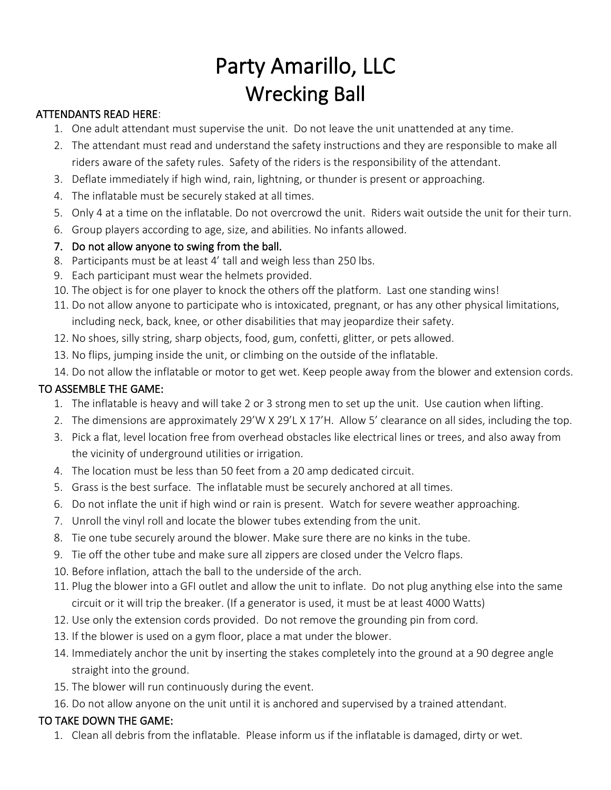# Party Amarillo, LLC Wrecking Ball

#### ATTENDANTS READ HERE:

- 1. One adult attendant must supervise the unit. Do not leave the unit unattended at any time.
- 2. The attendant must read and understand the safety instructions and they are responsible to make all riders aware of the safety rules. Safety of the riders is the responsibility of the attendant.
- 3. Deflate immediately if high wind, rain, lightning, or thunder is present or approaching.
- 4. The inflatable must be securely staked at all times.
- 5. Only 4 at a time on the inflatable. Do not overcrowd the unit. Riders wait outside the unit for their turn.
- 6. Group players according to age, size, and abilities. No infants allowed.

### 7. Do not allow anyone to swing from the ball.

- 8. Participants must be at least 4' tall and weigh less than 250 lbs.
- 9. Each participant must wear the helmets provided.
- 10. The object is for one player to knock the others off the platform. Last one standing wins!
- 11. Do not allow anyone to participate who is intoxicated, pregnant, or has any other physical limitations, including neck, back, knee, or other disabilities that may jeopardize their safety.
- 12. No shoes, silly string, sharp objects, food, gum, confetti, glitter, or pets allowed.
- 13. No flips, jumping inside the unit, or climbing on the outside of the inflatable.
- 14. Do not allow the inflatable or motor to get wet. Keep people away from the blower and extension cords.

## TO ASSEMBLE THE GAME:

- 1. The inflatable is heavy and will take 2 or 3 strong men to set up the unit. Use caution when lifting.
- 2. The dimensions are approximately 29'W X 29'L X 17'H. Allow 5' clearance on all sides, including the top.
- 3. Pick a flat, level location free from overhead obstacles like electrical lines or trees, and also away from the vicinity of underground utilities or irrigation.
- 4. The location must be less than 50 feet from a 20 amp dedicated circuit.
- 5. Grass is the best surface. The inflatable must be securely anchored at all times.
- 6. Do not inflate the unit if high wind or rain is present. Watch for severe weather approaching.
- 7. Unroll the vinyl roll and locate the blower tubes extending from the unit.
- 8. Tie one tube securely around the blower. Make sure there are no kinks in the tube.
- 9. Tie off the other tube and make sure all zippers are closed under the Velcro flaps.
- 10. Before inflation, attach the ball to the underside of the arch.
- 11. Plug the blower into a GFI outlet and allow the unit to inflate. Do not plug anything else into the same circuit or it will trip the breaker. (If a generator is used, it must be at least 4000 Watts)
- 12. Use only the extension cords provided. Do not remove the grounding pin from cord.
- 13. If the blower is used on a gym floor, place a mat under the blower.
- 14. Immediately anchor the unit by inserting the stakes completely into the ground at a 90 degree angle straight into the ground.
- 15. The blower will run continuously during the event.
- 16. Do not allow anyone on the unit until it is anchored and supervised by a trained attendant.

## TO TAKE DOWN THE GAME:

1. Clean all debris from the inflatable. Please inform us if the inflatable is damaged, dirty or wet.